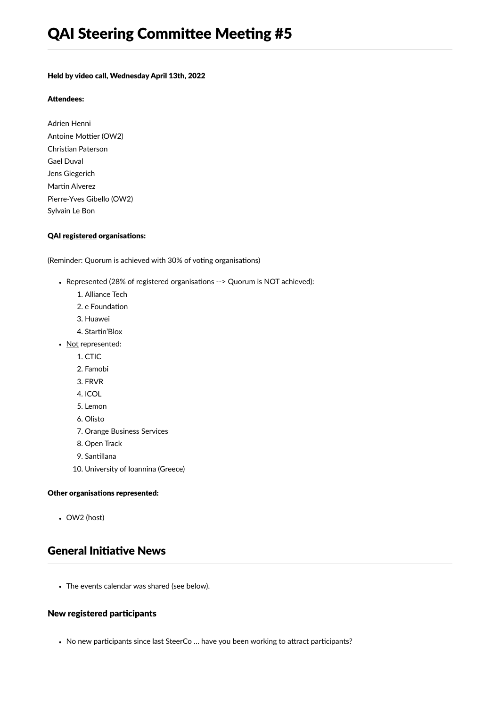#### Held by video call, Wednesday April 13th, 2022

#### Attendees:

Adrien Henni Antoine Mottier (OW2) Christian Paterson Gael Duval Jens Giegerich Martin Alverez Pierre-Yves Gibello (OW2) Sylvain Le Bon

#### QAI registered organisations:

(Reminder: Quorum is achieved with 30% of voting organisations)

- Represented (28% of registered organisations --> Quorum is NOT achieved):
	- 1. Alliance Tech
	- 2. e Foundation
	- 3. Huawei
	- 4. Startin'Blox
- Not represented:
	- 1. CTIC
	- 2. Famobi
	- 3. FRVR
	- 4. ICOL
	- 5. Lemon
	- 6. Olisto
	- 7. Orange Business Services
	- 8. Open Track
	- 9. Santillana
	- 10. University of Ioannina (Greece)

#### Other organisations represented:

OW2 (host)

## General Initiative News

The events calendar was shared (see below).

### New registered participants

• No new participants since last SteerCo ... have you been working to attract participants?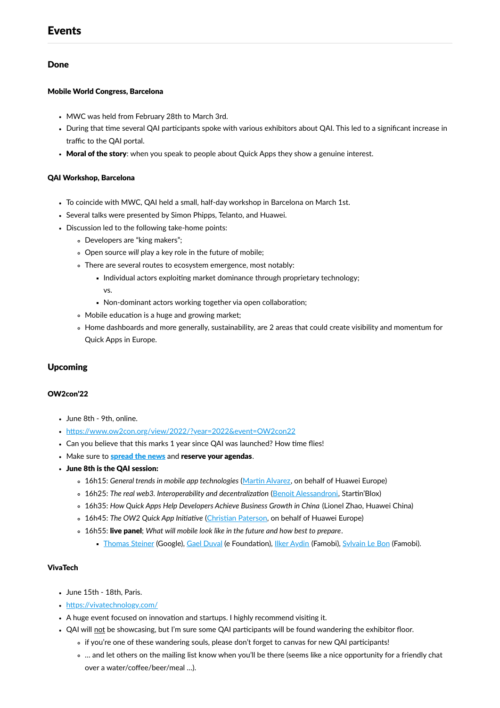## Events

## Done

#### Mobile World Congress, Barcelona

- MWC was held from February 28th to March 3rd.
- During that time several QAI participants spoke with various exhibitors about QAI. This led to a significant increase in traffic to the QAI portal.
- Moral of the story: when you speak to people about Quick Apps they show a genuine interest.

#### QAI Workshop, Barcelona

- To coincide with MWC, QAI held a small, half-day workshop in Barcelona on March 1st.
- Several talks were presented by Simon Phipps, Telanto, and Huawei.
- Discussion led to the following take-home points:
	- Developers are "king makers";
	- Open source *will* play a key role in the future of mobile;
	- There are several routes to ecosystem emergence, most notably:
		- Individual actors exploiting market dominance through proprietary technology; vs.
		- Non-dominant actors working together via open collaboration;
	- Mobile education is a huge and growing market;
	- Home dashboards and more generally, sustainability, are 2 areas that could create visibility and momentum for Quick Apps in Europe.

### Upcoming

#### OW2con'22

- June 8th 9th, online.
- <https://www.ow2con.org/view/2022/?year=2022&event=OW2con22>
- Can you believe that this marks 1 year since QAI was launched? How time flies!
- Make sure to **[spread](https://www.ow2con.org/view/2022/Help_To_Promote?year=2022&event=OW2con22) the news** and reserve your agendas.
- June 8th is the QAI session:
	- 16h15: *General trends in mobile app technologies* (Martin [Alvarez,](https://www.linkedin.com/in/espinr/) on behalf of Huawei Europe)
	- 16h25: *The real web3. Interoperability and decentralization* (Benoit [Alessandroni](https://www.linkedin.com/in/benoitalessandroni/), Startin'Blox)
	- 16h35: *How Quick Apps Help Developers Achieve Business Growth in China* (Lionel Zhao, Huawei China)
	- 16h45: *The OW2 Quick App Initiative* (Christian [Paterson,](https://www.linkedin.com/in/christian-paterson-35a210/) on behalf of Huawei Europe)
	- 16h55: live panel; *What will mobile look like in the future and how best to prepare*.
		- **[Thomas](https://blog.tomayac.com/) Steiner (Google), Gael [Duval](https://www.linkedin.com/in/gaelduvalprofile/) (e Foundation), Ilker [Aydin](https://www.linkedin.com/in/aydinilker/) (Famobi), [Sylvain](https://www.linkedin.com/in/sylvainlebon/) Le Bon (Famobi).**

#### VivaTech

- June 15th 18th, Paris.
- <https://vivatechnology.com/>
- A huge event focused on innovation and startups. I highly recommend visiting it.
- QAI will not be showcasing, but I'm sure some QAI participants will be found wandering the exhibitor floor.
	- if you're one of these wandering souls, please don't forget to canvas for new QAI participants!
	- … and let others on the mailing list know when you'll be there (seems like a nice opportunity for a friendly chat over a water/coffee/beer/meal …).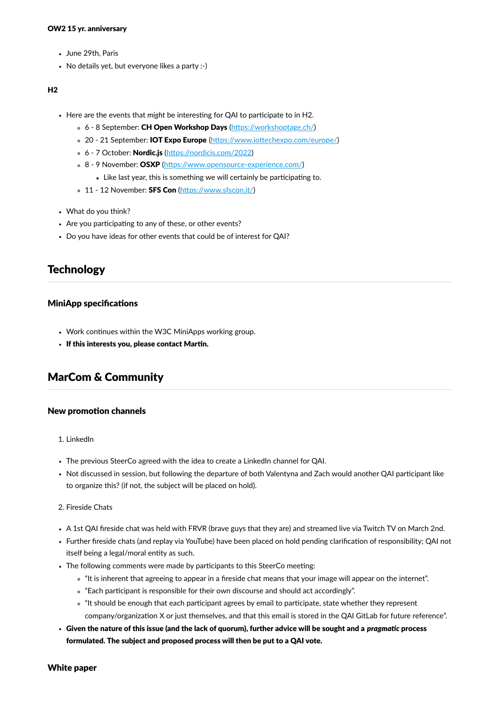- June 29th, Paris
- No details yet, but everyone likes a party :-)

#### $H<sub>2</sub>$

- Here are the events that *might* be interesting for QAI to participate to in H2.
	- 6 8 September: CH Open Workshop Days (<https://workshoptage.ch/>)
	- o 20 21 September: IOT Expo Europe (<https://www.iottechexpo.com/europe/>)
	- 6 7 October: Nordic.js (<https://nordicjs.com/2022>)
	- o 8 9 November: OSXP (<https://www.opensource-experience.com/>)
		- Like last year, this is something we will certainly be participating to.
	- o 11 12 November: SFS Con (<https://www.sfscon.it/>)
- What do you think?
- Are you participating to any of these, or other events?
- Do you have ideas for other events that could be of interest for QAI?

## **Technology**

#### MiniApp specifications

- Work continues within the W3C MiniApps working group.
- If this interests you, please contact Martin.

## MarCom & Community

#### New promotion channels

- 1. LinkedIn
- The previous SteerCo agreed with the idea to create a LinkedIn channel for QAI.
- Not discussed in session, but following the departure of both Valentyna and Zach would another QAI participant like to organize this? (if not, the subject will be placed on hold).
- 2. Fireside Chats
- A 1st QAI fireside chat was held with FRVR (brave guys that they are) and streamed live via Twitch TV on March 2nd.
- Further fireside chats (and replay via YouTube) have been placed on hold pending clarification of responsibility; QAI not itself being a legal/moral entity as such.
- The following comments were made by participants to this SteerCo meeting:
	- "It is inherent that agreeing to appear in a fireside chat means that your image will appear on the internet".
	- "Each participant is responsible for their own discourse and should act accordingly".
	- "It should be enough that each participant agrees by email to participate, state whether they represent company/organization X or just themselves, and that this email is stored in the QAI GitLab for future reference".
- Given the nature of this issue (and the lack of quorum), further advice will be sought and a *pragmatic* process formulated. The subject and proposed process will then be put to a QAI vote.

White paper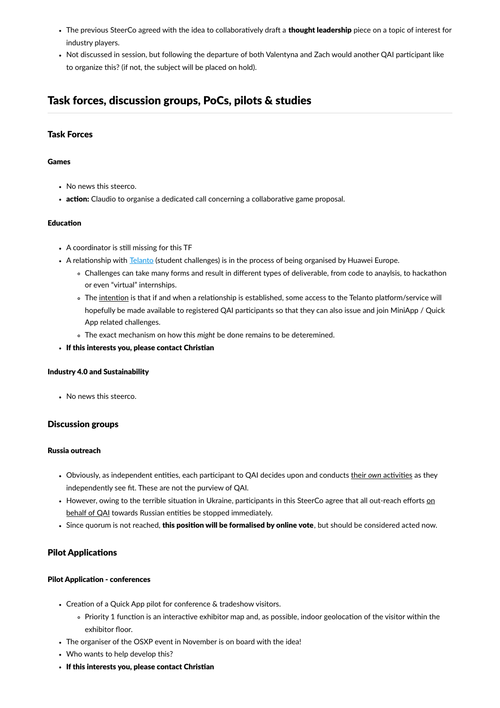- The previous SteerCo agreed with the idea to collaboratively draft a thought leadership piece on a topic of interest for industry players.
- Not discussed in session, but following the departure of both Valentyna and Zach would another QAI participant like to organize this? (if not, the subject will be placed on hold).

# Task forces, discussion groups, PoCs, pilots & studies

## Task Forces

#### Games

- No news this steerco.
- action: Claudio to organise a dedicated call concerning a collaborative game proposal.

#### Education

- A coordinator is still missing for this TF
- A relationship with [Telanto](https://telanto.com/) (student challenges) is in the process of being organised by Huawei Europe.
	- Challenges can take many forms and result in different types of deliverable, from code to anaylsis, to hackathon or even "virtual" internships.
	- o The intention is that if and when a relationship is established, some access to the Telanto platform/service will hopefully be made available to registered QAI participants so that they can also issue and join MiniApp / Quick App related challenges.
	- The exact mechanism on how this *might* be done remains to be deteremined.
- If this interests you, please contact Christian

#### Industry 4.0 and Sustainability

No news this steerco.

### Discussion groups

#### Russia outreach

- Obviously, as independent entities, each participant to QAI decides upon and conducts their *own* activities as they independently see fit. These are not the purview of QAI.
- However, owing to the terrible situation in Ukraine, participants in this SteerCo agree that all out-reach efforts on behalf of QAI towards Russian entities be stopped immediately.
- Since quorum is not reached, this position will be formalised by online vote, but should be considered acted now.

### Pilot Applications

#### Pilot Application - conferences

- Creation of a Quick App pilot for conference & tradeshow visitors.
	- Priority 1 function is an interactive exhibitor map and, as possible, indoor geolocation of the visitor within the exhibitor floor.
- The organiser of the OSXP event in November is on board with the idea!
- Who wants to help develop this?
- If this interests you, please contact Christian